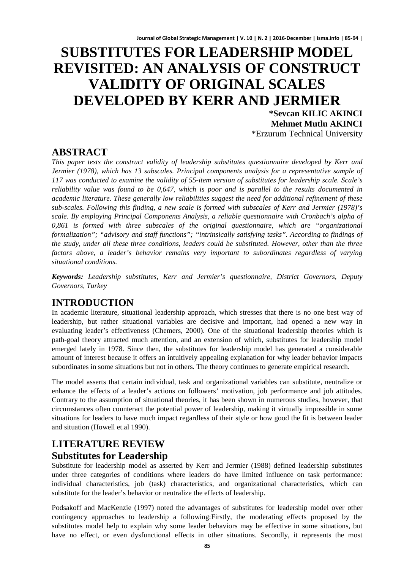# **SUBSTITUTES FOR LEADERSHIP MODEL REVISITED: AN ANALYSIS OF CONSTRUCT VALIDITY OF ORIGINAL SCALES DEVELOPED BY KERR AND JERMIER**

**\*Sevcan KILIC AKINCI Mehmet Mutlu AKINCI** \*Erzurum Technical University

# **ABSTRACT**

*This paper tests the construct validity of leadership substitutes questionnaire developed by Kerr and Jermier (1978), which has 13 subscales. Principal components analysis for a representative sample of 117 was conducted to examine the validity of 55-item version of substitutes for leadership scale. Scale's reliability value was found to be 0,647, which is poor and is parallel to the results documented in academic literature. These generally low reliabilities suggest the need for additional refinement of these sub-scales. Following this finding, a new scale is formed with subscales of Kerr and Jermier (1978)'s scale. By employing Principal Components Analysis, a reliable questionnaire with Cronbach's alpha of 0,861 is formed with three subscales of the original questionnaire, which are "organizational formalization"; "advisory and staff functions"; "intrinsically satisfying tasks". According to findings of the study, under all these three conditions, leaders could be substituted. However, other than the three factors above, a leader's behavior remains very important to subordinates regardless of varying situational conditions.*

*Keywords: Leadership substitutes, Kerr and Jermier's questionnaire, District Governors, Deputy Governors, Turkey*

# **INTRODUCTION**

In academic literature, situational leadership approach, which stresses that there is no one best way of leadership, but rather situational variables are decisive and important, had opened a new way in evaluating leader's effectiveness (Chemers, 2000). One of the situational leadership theories which is path-goal theory attracted much attention, and an extension of which, substitutes for leadership model emerged lately in 1978. Since then, the substitutes for leadership model has generated a considerable amount of interest because it offers an intuitively appealing explanation for why leader behavior impacts subordinates in some situations but not in others. The theory continues to generate empirical research.

The model asserts that certain individual, task and organizational variables can substitute, neutralize or enhance the effects of a leader's actions on followers' motivation, job performance and job attitudes. Contrary to the assumption of situational theories, it has been shown in numerous studies, however, that circumstances often counteract the potential power of leadership, making it virtually impossible in some situations for leaders to have much impact regardless of their style or how good the fit is between leader and situation (Howell et.al 1990).

# **LITERATURE REVIEW Substitutes for Leadership**

Substitute for leadership model as asserted by Kerr and Jermier (1988) defined leadership substitutes under three categories of conditions where leaders do have limited influence on task performance: individual characteristics, job (task) characteristics, and organizational characteristics, which can substitute for the leader's behavior or neutralize the effects of leadership.

Podsakoff and MacKenzie (1997) noted the advantages of substitutes for leadership model over other contingency approaches to leadership a following:Firstly, the moderating effects proposed by the substitutes model help to explain why some leader behaviors may be effective in some situations, but have no effect, or even dysfunctional effects in other situations. Secondly, it represents the most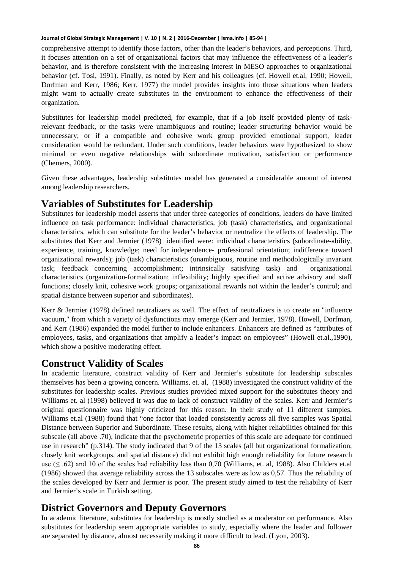comprehensive attempt to identify those factors, other than the leader's behaviors, and perceptions. Third, it focuses attention on a set of organizational factors that may influence the effectiveness of a leader's behavior, and is therefore consistent with the increasing interest in MESO approaches to organizational behavior (cf. Tosi, 1991). Finally, as noted by Kerr and his colleagues (cf. Howell et.al, 1990; Howell, Dorfman and Kerr, 1986; Kerr, 1977) the model provides insights into those situations when leaders might want to actually create substitutes in the environment to enhance the effectiveness of their organization.

Substitutes for leadership model predicted, for example, that if a job itself provided plenty of taskrelevant feedback, or the tasks were unambiguous and routine; leader structuring behavior would be unnecessary; or if a compatible and cohesive work group provided emotional support, leader consideration would be redundant. Under such conditions, leader behaviors were hypothesized to show minimal or even negative relationships with subordinate motivation, satisfaction or performance (Chemers, 2000).

Given these advantages, leadership substitutes model has generated a considerable amount of interest among leadership researchers.

# **Variables of Substitutes for Leadership**

Substitutes for leadership model asserts that under three categories of conditions, leaders do have limited influence on task performance: individual characteristics, job (task) characteristics, and organizational characteristics, which can substitute for the leader's behavior or neutralize the effects of leadership. The substitutes that Kerr and Jermier (1978) identified were: individual characteristics (subordinate-ability, experience, training, knowledge; need for independence- professional orientation; indifference toward organizational rewards); job (task) characteristics (unambiguous, routine and methodologically invariant task; feedback concerning accomplishment; intrinsically satisfying task) and organizational characteristics (organization-formalization; inflexibility; highly specified and active advisory and staff functions; closely knit, cohesive work groups; organizational rewards not within the leader's control; and spatial distance between superior and subordinates).

Kerr & Jermier (1978) defined neutralizers as well. The effect of neutralizers is to create an "influence vacuum," from which a variety of dysfunctions may emerge (Kerr and Jermier, 1978). Howell, Dorfman, and Kerr (1986) expanded the model further to include enhancers. Enhancers are defined as "attributes of employees, tasks, and organizations that amplify a leader's impact on employees" (Howell et.al.,1990), which show a positive moderating effect.

# **Construct Validity of Scales**

In academic literature, construct validity of Kerr and Jermier's substitute for leadership subscales themselves has been a growing concern. Williams, et. al, (1988) investigated the construct validity of the substitutes for leadership scales. Previous studies provided mixed support for the substitutes theory and Williams et. al (1998) believed it was due to lack of construct validity of the scales. Kerr and Jermier's original questionnaire was highly criticized for this reason. In their study of 11 different samples, Williams et.al (1988) found that "one factor that loaded consistently across all five samples was Spatial Distance between Superior and Subordinate. These results, along with higher reliabilities obtained for this subscale (all above .70), indicate that the psychometric properties of this scale are adequate for continued use in research" (p.314). The study indicated that 9 of the 13 scales (all but organizational formalization, closely knit workgroups, and spatial distance) did not exhibit high enough reliability for future research use ( $\leq$  .62) and 10 of the scales had reliability less than 0,70 (Williams, et. al, 1988). Also Childers et.al (1986) showed that average reliability across the 13 subscales were as low as 0,57. Thus the reliability of the scales developed by Kerr and Jermier is poor. The present study aimed to test the reliability of Kerr and Jermier's scale in Turkish setting.

# **District Governors and Deputy Governors**

In academic literature, substitutes for leadership is mostly studied as a moderator on performance. Also substitutes for leadership seem appropriate variables to study, especially where the leader and follower are separated by distance, almost necessarily making it more difficult to lead. (Lyon, 2003).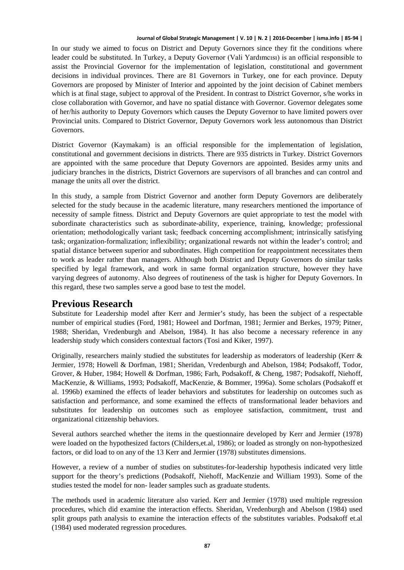In our study we aimed to focus on District and Deputy Governors since they fit the conditions where leader could be substituted. In Turkey, a Deputy Governor (Vali Yardımcısı) is an official responsible to assist the Provincial Governor for the implementation of legislation, constitutional and government decisions in individual provinces. There are 81 Governors in Turkey, one for each province. Deputy Governors are proposed by Minister of Interior and appointed by the joint decision of Cabinet members which is at final stage, subject to approval of the President. In contrast to District Governor, s/he works in close collaboration with Governor, and have no spatial distance with Governor. Governor delegates some of her/his authority to Deputy Governors which causes the Deputy Governor to have limited powers over Provincial units. Compared to District Governor, Deputy Governors work less autonomous than District Governors.

District Governor (Kaymakam) is an official responsible for the implementation of legislation, constitutional and government decisions in districts. There are 935 districts in Turkey. District Governors are appointed with the same procedure that Deputy Governors are appointed. Besides army units and judiciary branches in the districts, District Governors are supervisors of all branches and can control and manage the units all over the district.

In this study, a sample from District Governor and another form Deputy Governors are deliberately selected for the study because in the academic literature, many researchers mentioned the importance of necessity of sample fitness. District and Deputy Governors are quiet appropriate to test the model with subordinate characteristics such as subordinate-ability, experience, training, knowledge; professional orientation; methodologically variant task; feedback concerning accomplishment; intrinsically satisfying task; organization-formalization; inflexibility; organizational rewards not within the leader's control; and spatial distance between superior and subordinates. High competition for reappointment necessitates them to work as leader rather than managers. Although both District and Deputy Governors do similar tasks specified by legal framework, and work in same formal organization structure, however they have varying degrees of autonomy. Also degrees of routineness of the task is higher for Deputy Governors. In this regard, these two samples serve a good base to test the model.

# **Previous Research**

Substitute for Leadership model after Kerr and Jermier's study, has been the subject of a respectable number of empirical studies (Ford, 1981; Howeel and Dorfman, 1981; Jermier and Berkes, 1979; Pitner, 1988; Sheridan, Vredenburgh and Abelson, 1984). It has also become a necessary reference in any leadership study which considers contextual factors (Tosi and Kiker, 1997).

Originally, researchers mainly studied the substitutes for leadership as moderators of leadership (Kerr & Jermier, 1978; Howell & Dorfman, 1981; Sheridan, Vredenburgh and Abelson, 1984; Podsakoff, Todor, Grover, & Huber, 1984; Howell & Dorfman, 1986; Farh, Podsakoff, & Cheng, 1987; Podsakoff, Niehoff, MacKenzie, & Williams, 1993; Podsakoff, MacKenzie, & Bommer, 1996a). Some scholars (Podsakoff et al. 1996b) examined the effects of leader behaviors and substitutes for leadership on outcomes such as satisfaction and performance, and some examined the effects of transformational leader behaviors and substitutes for leadership on outcomes such as employee satisfaction, commitment, trust and organizational citizenship behaviors.

Several authors searched whether the items in the questionnaire developed by Kerr and Jermier (1978) were loaded on the hypothesized factors (Childers,et.al, 1986); or loaded as strongly on non-hypothesized factors, or did load to on any of the 13 Kerr and Jermier (1978) substitutes dimensions.

However, a review of a number of studies on substitutes-for-leadership hypothesis indicated very little support for the theory's predictions (Podsakoff, Niehoff, MacKenzie and William 1993). Some of the studies tested the model for non- leader samples such as graduate students.

The methods used in academic literature also varied. Kerr and Jermier (1978) used multiple regression procedures, which did examine the interaction effects. Sheridan, Vredenburgh and Abelson (1984) used split groups path analysis to examine the interaction effects of the substitutes variables. Podsakoff et.al (1984) used moderated regression procedures.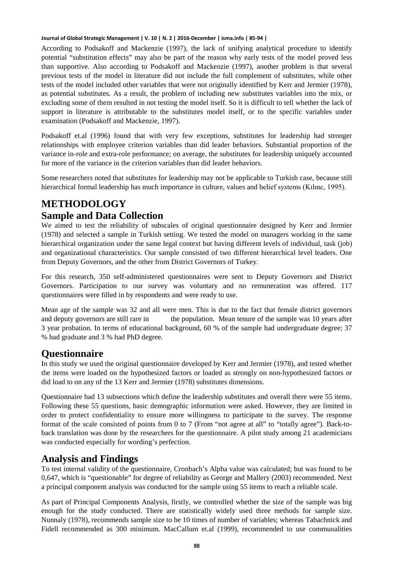According to Podsakoff and Mackenzie (1997), the lack of unifying analytical procedure to identify potential "substitution effects" may also be part of the reason why early tests of the model proved less than supportive. Also according to Podsakoff and Mackenzie (1997), another problem is that several previous tests of the model in literature did not include the full complement of substitutes, while other tests of the model included other variables that were not originally identified by Kerr and Jermier (1978), as potential substitutes. As a result, the problem of including new substitutes variables into the mix, or excluding some of them resulted in not testing the model itself. So it is difficult to tell whether the lack of support in literature is attributable to the substitutes model itself, or to the specific variables under examination (Podsakoff and Mackenzie, 1997).

Podsakoff et.al (1996) found that with very few exceptions, substitutes for leadership had stronger relationships with employee criterion variables than did leader behaviors. Substantial proportion of the variance in-role and extra-role performance; on average, the substitutes for leadership uniquely accounted for more of the variance in the criterion variables than did leader behaviors.

Some researchers noted that substitutes for leadership may not be applicable to Turkish case, because still hierarchical formal leadership has much importance in culture, values and belief systems (Kılınc, 1995).

# **METHODOLOGY**

### **Sample and Data Collection**

We aimed to test the reliability of subscales of original questionnaire designed by Kerr and Jermier (1978) and selected a sample in Turkish setting. We tested the model on managers working in the same hierarchical organization under the same legal context but having different levels of individual, task (job) and organizational characteristics. Our sample consisted of two different hierarchical level leaders. One from Deputy Governors, and the other from District Governors of Turkey.

For this research, 350 self-administered questionnaires were sent to Deputy Governors and District Governors. Participation to our survey was voluntary and no remuneration was offered. 117 questionnaires were filled in by respondents and were ready to use.

Mean age of the sample was 32 and all were men. This is due to the fact that female district governors and deputy governors are still rare in the population. Mean tenure of the sample was 10 years after 3 year probation. In terms of educational background, 60 % of the sample had undergraduate degree; 37 % had graduate and 3 % had PhD degree.

### **Questionnaire**

In this study we used the original questionnaire developed by Kerr and Jermier (1978), and tested whether the items were loaded on the hypothesized factors or loaded as strongly on non-hypothesized factors or did load to on any of the 13 Kerr and Jermier (1978) substitutes dimensions.

Questionnaire had 13 subsections which define the leadership substitutes and overall there were 55 items. Following these 55 questions, basic demographic information were asked. However, they are limited in order to protect confidentiality to ensure more willingness to participate to the survey. The response format of the scale consisted of points from 0 to 7 (From "not agree at all" to "totally agree"). Back-toback translation was done by the researchers for the questionnaire. A pilot study among 21 academicians was conducted especially for wording's perfection.

# **Analysis and Findings**

To test internal validity of the questionnaire, Cronbach's Alpha value was calculated; but was found to be 0,647, which is "questionable" for degree of reliability as George and Mallery (2003) recommended. Next a principal component analysis was conducted for the sample using 55 items to reach a reliable scale.

As part of Principal Components Analysis, firstly, we controlled whether the size of the sample was big enough for the study conducted. There are statistically widely used three methods for sample size. Nunnaly (1978), recommends sample size to be 10 times of number of variables; whereas Tabachnick and Fidell recommended as 300 minimum. MacCallum et.al (1999), recommended to use communalities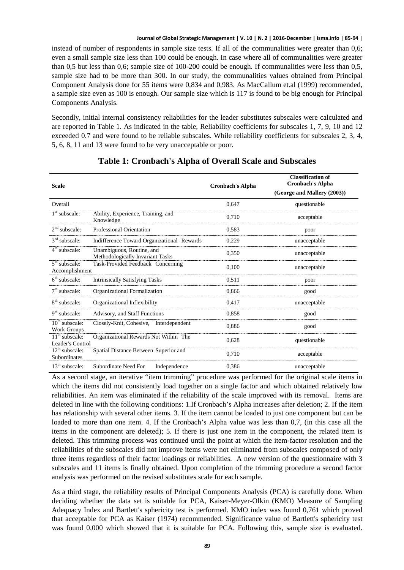instead of number of respondents in sample size tests. If all of the communalities were greater than 0,6; even a small sample size less than 100 could be enough. In case where all of communalities were greater than 0,5 but less than 0,6; sample size of 100-200 could be enough. If communalities were less than 0,5, sample size had to be more than 300. In our study, the communalities values obtained from Principal Component Analysis done for 55 items were 0,834 and 0,983. As MacCallum et.al (1999) recommended, a sample size even as 100 is enough. Our sample size which is 117 is found to be big enough for Principal Components Analysis.

Secondly, initial internal consistency reliabilities for the leader substitutes subscales were calculated and are reported in Table 1. As indicated in the table, Reliability coefficients for subscales 1, 7, 9, 10 and 12 exceeded 0.7 and were found to be reliable subscales. While reliability coefficients for subscales 2, 3, 4, 5, 6, 8, 11 and 13 were found to be very unacceptable or poor.

| <b>Scale</b>                         |                                                               | <b>Cronbach's Alpha</b> | <b>Classification of</b><br><b>Cronbach's Alpha</b><br>(George and Mallery (2003)) |
|--------------------------------------|---------------------------------------------------------------|-------------------------|------------------------------------------------------------------------------------|
| Overall                              |                                                               | 0,647                   | questionable                                                                       |
| $1st$ subscale:                      | Ability, Experience, Training, and<br>Knowledge               | 0.710                   | acceptable                                                                         |
| $2nd$ subscale:                      | Professional Orientation                                      | 0,583                   | poor                                                                               |
| $3rd$ subscale:                      | Indifference Toward Organizational Rewards                    | 0,229                   | unacceptable                                                                       |
| $4th$ subscale:                      | Unambiguous, Routine, and<br>Methodologically Invariant Tasks | 0.350                   | unacceptable                                                                       |
| $5th$ subscale:<br>Accomplishment    | Task-Provided Feedback Concerning                             | 0,100                   | unacceptable                                                                       |
| $6th$ subscale:                      | <b>Intrinsically Satisfying Tasks</b>                         | 0.511                   | poor                                                                               |
| $7th$ subscale:                      | Organizational Formalization                                  | 0.866                   | good                                                                               |
| $8th$ subscale:                      | Organizational Inflexibility                                  | 0.417                   | unacceptable                                                                       |
| $9th$ subscale:                      | Advisory, and Staff Functions                                 | 0,858                   | good                                                                               |
| $10th$ subscale:<br>Work Groups      | Closely-Knit, Cohesive, Interdependent                        | 0.886                   | good                                                                               |
| $11th$ subscale:<br>Leader's Control | Organizational Rewards Not Within The                         | 0.628                   | questionable                                                                       |
| $12th$ subscale:<br>Subordinates     | Spatial Distance Between Superior and                         | 0,710                   | acceptable                                                                         |
| $13th$ subscale:                     | Subordinate Need For<br>Independence                          | 0,386                   | unacceptable                                                                       |

### **Table 1: Cronbach's Alpha of Overall Scale and Subscales**

As a second stage, an iterative "item trimming" procedure was performed for the original scale items in which the items did not consistently load together on a single factor and which obtained relatively low reliabilities. An item was eliminated if the reliability of the scale improved with its removal. Items are deleted in line with the following conditions: 1.If Cronbach's Alpha increases after deletion; 2. If the item has relationship with several other items. 3. If the item cannot be loaded to just one component but can be loaded to more than one item. 4. If the Cronbach's Alpha value was less than 0,7, (in this case all the items in the component are deleted); 5. If there is just one item in the component, the related item is deleted. This trimming process was continued until the point at which the item-factor resolution and the reliabilities of the subscales did not improve items were not eliminated from subscales composed of only three items regardless of their factor loadings or reliabilities. A new version of the questionnaire with 3 subscales and 11 items is finally obtained. Upon completion of the trimming procedure a second factor analysis was performed on the revised substitutes scale for each sample.

As a third stage, the reliability results of Principal Components Analysis (PCA) is carefully done. When deciding whether the data set is suitable for PCA, Kaiser-Meyer-Olkin (KMO) Measure of Sampling Adequacy Index and Bartlett's sphericity test is performed. KMO index was found 0,761 which proved that acceptable for PCA as Kaiser (1974) recommended. Significance value of Bartlett's sphericity test was found 0,000 which showed that it is suitable for PCA. Following this, sample size is evaluated.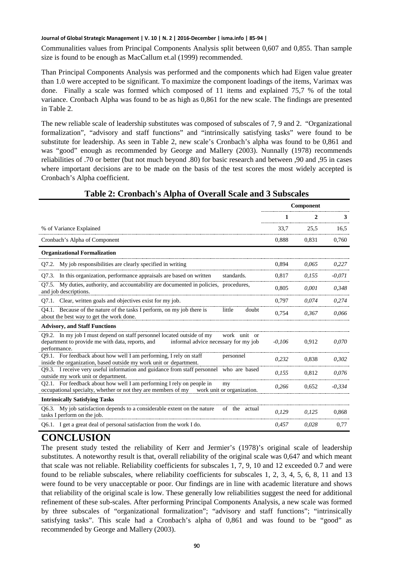Communalities values from Principal Components Analysis split between 0,607 and 0,855. Than sample size is found to be enough as MacCallum et.al (1999) recommended.

Than Principal Components Analysis was performed and the components which had Eigen value greater than 1.0 were accepted to be significant. To maximize the component loadings of the items, Varimax was done. Finally a scale was formed which composed of 11 items and explained 75,7 % of the total variance. Cronbach Alpha was found to be as high as 0,861 for the new scale. The findings are presented in Table 2.

The new reliable scale of leadership substitutes was composed of subscales of 7, 9 and 2. "Organizational formalization", "advisory and staff functions" and "intrinsically satisfying tasks" were found to be substitute for leadership. As seen in Table 2, new scale's Cronbach's alpha was found to be 0,861 and was "good" enough as recommended by George and Mallery (2003). Nunnally (1978) recommends reliabilities of .70 or better (but not much beyond .80) for basic research and between ,90 and ,95 in cases where important decisions are to be made on the basis of the test scores the most widely accepted is Cronbach's Alpha coefficient.

|                                                                                                                                                                                                    | Component |       |          |
|----------------------------------------------------------------------------------------------------------------------------------------------------------------------------------------------------|-----------|-------|----------|
|                                                                                                                                                                                                    |           |       | 3        |
| % of Variance Explained                                                                                                                                                                            | 33,7      | 25.5  | 16,5     |
| Cronbach's Alpha of Component                                                                                                                                                                      | 0,888     | 0,831 | 0,760    |
| <b>Organizational Formalization</b>                                                                                                                                                                |           |       |          |
| Q7.2. My job responsibilities are clearly specified in writing                                                                                                                                     | 0.894     | 0.065 | 0,227    |
| Q7.3. In this organization, performance appraisals are based on written<br>standards.                                                                                                              | 0,817     | 0.155 | $-0.071$ |
| Q7.5. My duties, authority, and accountability are documented in policies, procedures,<br>and job descriptions.                                                                                    | 0.805     | 0.001 | 0.348    |
| Q7.1. Clear, written goals and objectives exist for my job.                                                                                                                                        | 0,797     | 0.074 | 0,274    |
| Q4.1. Because of the nature of the tasks I perform, on my job there is<br>little<br>doubt<br>about the best way to get the work done.                                                              | 0.754     | 0.367 | 0.066    |
| <b>Advisory, and Staff Functions</b>                                                                                                                                                               |           |       |          |
| Q9.2. In my job I must depend on staff personnel located outside of my<br>work unit or<br>department to provide me with data, reports, and<br>informal advice necessary for my job<br>performance. | $-0,106$  | 0,912 | 0,070    |
| Q9.1. For feedback about how well I am performing, I rely on staff<br>personnel<br>inside the organization, based outside my work unit or department.                                              | 0,232     | 0,838 | 0,302    |
| Q9.3. I receive very useful information and guidance from staff personnel who are based<br>outside my work unit or department.                                                                     | 0.155     | 0.812 | 0.076    |
| Q2.1. For feedback about how well I am performing I rely on people in<br>my<br>occupational specialty, whether or not they are members of my<br>work unit or organization.                         | 0.266     | 0.652 | $-0.334$ |
| <b>Intrinsically Satisfying Tasks</b>                                                                                                                                                              |           |       |          |
| Q6.3. My job satisfaction depends to a considerable extent on the nature<br>of the actual<br>tasks I perform on the job.                                                                           | 0.129     | 0.125 | 0.868    |
| Q6.1. I get a great deal of personal satisfaction from the work I do.                                                                                                                              | 0.457     | 0.028 | 0,77     |

### **Table 2: Cronbach's Alpha of Overall Scale and 3 Subscales**

# **CONCLUSION**

The present study tested the reliability of Kerr and Jermier's (1978)'s original scale of leadership substitutes. A noteworthy result is that, overall reliability of the original scale was 0,647 and which meant that scale was not reliable. Reliability coefficients for subscales 1, 7, 9, 10 and 12 exceeded 0.7 and were found to be reliable subscales, where reliability coefficients for subscales 1, 2, 3, 4, 5, 6, 8, 11 and 13 were found to be very unacceptable or poor. Our findings are in line with academic literature and shows that reliability of the original scale is low. These generally low reliabilities suggest the need for additional refinement of these sub-scales. After performing Principal Components Analysis, a new scale was formed by three subscales of "organizational formalization"; "advisory and staff functions"; "intrinsically satisfying tasks". This scale had a Cronbach's alpha of 0,861 and was found to be "good" as recommended by George and Mallery (2003).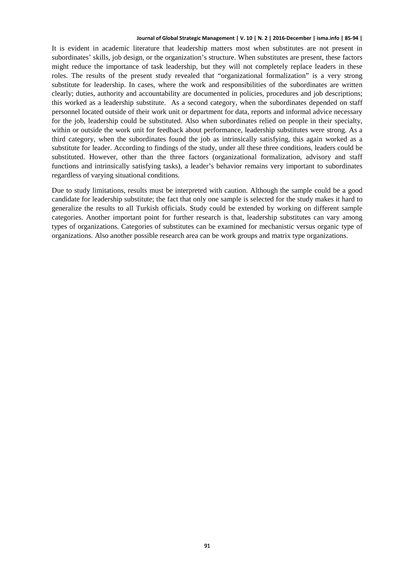It is evident in academic literature that leadership matters most when substitutes are not present in subordinates' skills, job design, or the organization's structure. When substitutes are present, these factors might reduce the importance of task leadership, but they will not completely replace leaders in these roles. The results of the present study revealed that "organizational formalization" is a very strong substitute for leadership. In cases, where the work and responsibilities of the subordinates are written clearly; duties, authority and accountability are documented in policies, procedures and job descriptions; this worked as a leadership substitute. As a second category, when the subordinates depended on staff personnel located outside of their work unit or department for data, reports and informal advice necessary for the job, leadership could be substituted. Also when subordinates relied on people in their specialty, within or outside the work unit for feedback about performance, leadership substitutes were strong. As a third category, when the subordinates found the job as intrinsically satisfying, this again worked as a substitute for leader. According to findings of the study, under all these three conditions, leaders could be substituted. However, other than the three factors (organizational formalization, advisory and staff functions and intrinsically satisfying tasks), a leader's behavior remains very important to subordinates regardless of varying situational conditions.

Due to study limitations, results must be interpreted with caution. Although the sample could be a good candidate for leadership substitute; the fact that only one sample is selected for the study makes it hard to generalize the results to all Turkish officials. Study could be extended by working on different sample categories. Another important point for further research is that, leadership substitutes can vary among types of organizations. Categories of substitutes can be examined for mechanistic versus organic type of organizations. Also another possible research area can be work groups and matrix type organizations.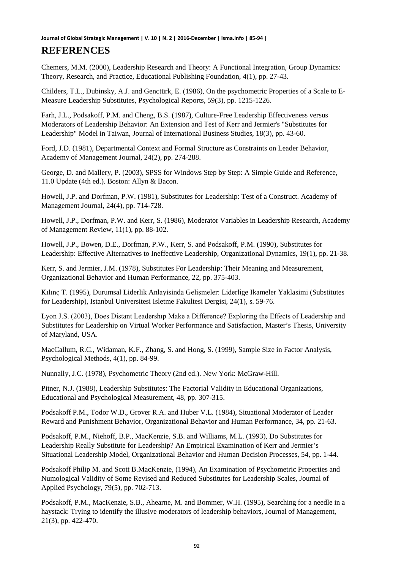Chemers, M.M. (2000), Leadership Research and Theory: A Functional Integration, Group Dynamics: Theory, Research, and Practice, Educational Publishing Foundation, 4(1), pp. 27-43.

Childers, T.L., Dubinsky, A.J. and Genctürk, E. (1986), On the psychometric Properties of a Scale to E-Measure Leadership Substitutes, Psychological Reports, 59(3), pp. 1215-1226.

Farh, J.L., Podsakoff, P.M. and Cheng, B.S. (1987), Culture-Free Leadership Effectiveness versus Moderators of Leadership Behavior: An Extension and Test of Kerr and Jermier's "Substitutes for Leadership" Model in Taiwan, Journal of International Business Studies, 18(3), pp. 43-60.

Ford, J.D. (1981), Departmental Context and Formal Structure as Constraints on Leader Behavior, Academy of Management Journal, 24(2), pp. 274-288.

George, D. and Mallery, P. (2003), SPSS for Windows Step by Step: A Simple Guide and Reference, 11.0 Update (4th ed.). Boston: Allyn & Bacon.

Howell, J.P. and Dorfman, P.W. (1981), Substitutes for Leadership: Test of a Construct. Academy of Management Journal, 24(4), pp. 714-728.

Howell, J.P., Dorfman, P.W. and Kerr, S. (1986), Moderator Variables in Leadership Research, Academy of Management Review, 11(1), pp. 88-102.

Howell, J.P., Bowen, D.E., Dorfman, P.W., Kerr, S. and Podsakoff, P.M. (1990), Substitutes for Leadership: Effective Alternatives to Ineffective Leadership, Organizational Dynamics, 19(1), pp. 21-38.

Kerr, S. and Jermier, J.M. (1978), Substitutes For Leadership: Their Meaning and Measurement, Organizational Behavior and Human Performance, 22, pp. 375-403.

Kılınç T. (1995), Durumsal Liderlik Anlayisinda Gelişmeler: Liderlige Ikameler Yaklasimi (Substitutes for Leadership), Istanbul Universitesi Isletme Fakultesi Dergisi, 24(1), s. 59-76.

Lyon J.S. (2003), Does Distant Leadershıp Make a Difference? Exploring the Effects of Leadership and Substitutes for Leadership on Virtual Worker Performance and Satisfaction, Master's Thesis, University of Maryland, USA.

MacCallum, R.C., Widaman, K.F., Zhang, S. and Hong, S. (1999), Sample Size in Factor Analysis, Psychological Methods, 4(1), pp. 84-99.

Nunnally, J.C. (1978), Psychometric Theory (2nd ed.). New York: McGraw-Hill.

Pitner, N.J. (1988), Leadership Substitutes: The Factorial Validity in Educational Organizations, Educational and Psychological Measurement, 48, pp. 307-315.

Podsakoff P.M., Todor W.D., Grover R.A. and Huber V.L. (1984), Situational Moderator of Leader Reward and Punishment Behavior, Organizational Behavior and Human Performance, 34, pp. 21-63.

Podsakoff, P.M., Niehoff, B.P., MacKenzie, S.B. and Williams, M.L. (1993), Do Substitutes for Leadership Really Substitute for Leadership? An Empirical Examination of Kerr and Jermier's Situational Leadership Model, Organizational Behavior and Human Decision Processes, 54, pp. 1-44.

Podsakoff Philip M. and Scott B.MacKenzie, (1994), An Examination of Psychometric Properties and Numological Validity of Some Revised and Reduced Substitutes for Leadership Scales, Journal of Applied Psychology, 79(5), pp. 702-713.

Podsakoff, P.M., MacKenzie, S.B., Ahearne, M. and Bommer, W.H. (1995), Searching for a needle in a haystack: Trying to identify the illusive moderators of leadership behaviors, Journal of Management, 21(3), pp. 422-470.